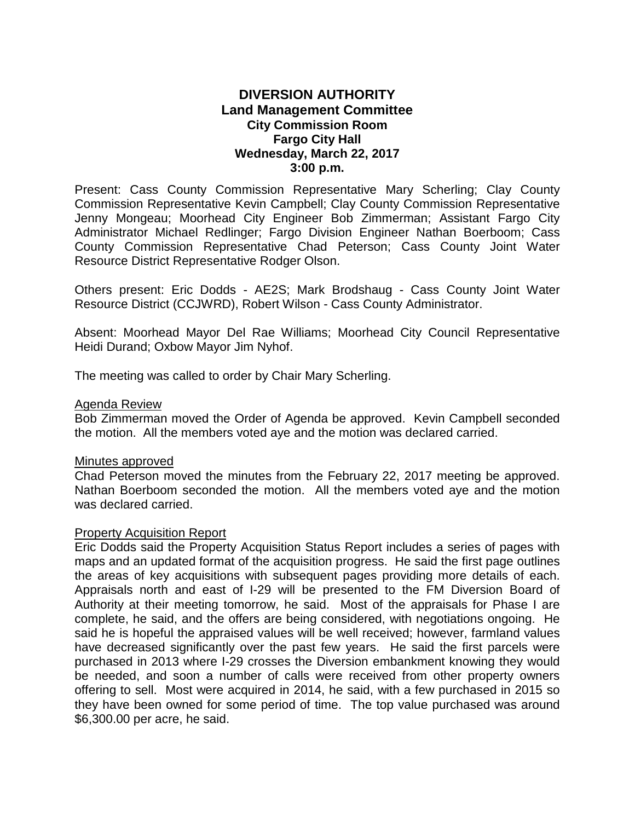# **DIVERSION AUTHORITY Land Management Committee City Commission Room Fargo City Hall Wednesday, March 22, 2017 3:00 p.m.**

Present: Cass County Commission Representative Mary Scherling; Clay County Commission Representative Kevin Campbell; Clay County Commission Representative Jenny Mongeau; Moorhead City Engineer Bob Zimmerman; Assistant Fargo City Administrator Michael Redlinger; Fargo Division Engineer Nathan Boerboom; Cass County Commission Representative Chad Peterson; Cass County Joint Water Resource District Representative Rodger Olson.

Others present: Eric Dodds - AE2S; Mark Brodshaug - Cass County Joint Water Resource District (CCJWRD), Robert Wilson - Cass County Administrator.

Absent: Moorhead Mayor Del Rae Williams; Moorhead City Council Representative Heidi Durand; Oxbow Mayor Jim Nyhof.

The meeting was called to order by Chair Mary Scherling.

### Agenda Review

Bob Zimmerman moved the Order of Agenda be approved. Kevin Campbell seconded the motion. All the members voted aye and the motion was declared carried.

#### Minutes approved

Chad Peterson moved the minutes from the February 22, 2017 meeting be approved. Nathan Boerboom seconded the motion. All the members voted aye and the motion was declared carried.

#### Property Acquisition Report

Eric Dodds said the Property Acquisition Status Report includes a series of pages with maps and an updated format of the acquisition progress. He said the first page outlines the areas of key acquisitions with subsequent pages providing more details of each. Appraisals north and east of I-29 will be presented to the FM Diversion Board of Authority at their meeting tomorrow, he said. Most of the appraisals for Phase I are complete, he said, and the offers are being considered, with negotiations ongoing. He said he is hopeful the appraised values will be well received; however, farmland values have decreased significantly over the past few years. He said the first parcels were purchased in 2013 where I-29 crosses the Diversion embankment knowing they would be needed, and soon a number of calls were received from other property owners offering to sell. Most were acquired in 2014, he said, with a few purchased in 2015 so they have been owned for some period of time. The top value purchased was around \$6,300.00 per acre, he said.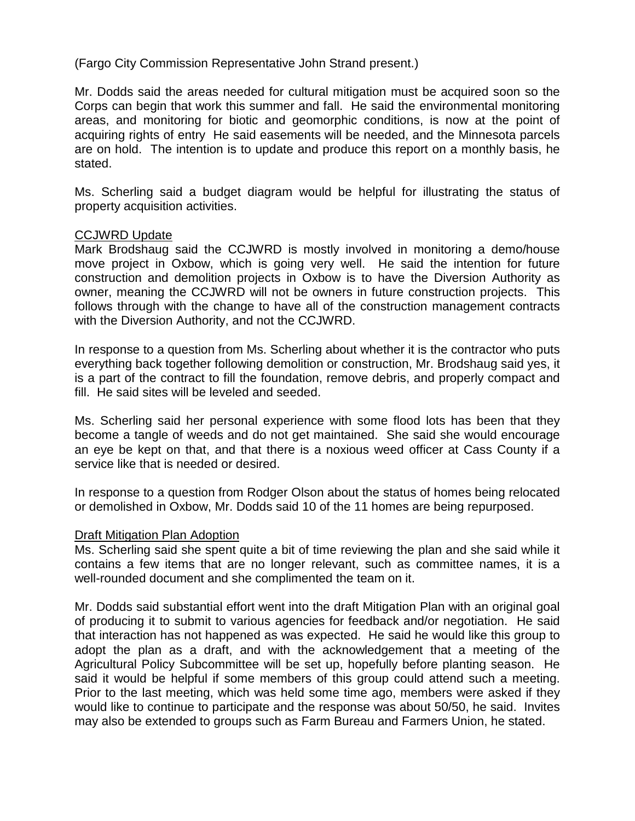(Fargo City Commission Representative John Strand present.)

Mr. Dodds said the areas needed for cultural mitigation must be acquired soon so the Corps can begin that work this summer and fall. He said the environmental monitoring areas, and monitoring for biotic and geomorphic conditions, is now at the point of acquiring rights of entry He said easements will be needed, and the Minnesota parcels are on hold. The intention is to update and produce this report on a monthly basis, he stated.

Ms. Scherling said a budget diagram would be helpful for illustrating the status of property acquisition activities.

#### CCJWRD Update

Mark Brodshaug said the CCJWRD is mostly involved in monitoring a demo/house move project in Oxbow, which is going very well. He said the intention for future construction and demolition projects in Oxbow is to have the Diversion Authority as owner, meaning the CCJWRD will not be owners in future construction projects. This follows through with the change to have all of the construction management contracts with the Diversion Authority, and not the CCJWRD.

In response to a question from Ms. Scherling about whether it is the contractor who puts everything back together following demolition or construction, Mr. Brodshaug said yes, it is a part of the contract to fill the foundation, remove debris, and properly compact and fill. He said sites will be leveled and seeded.

Ms. Scherling said her personal experience with some flood lots has been that they become a tangle of weeds and do not get maintained. She said she would encourage an eye be kept on that, and that there is a noxious weed officer at Cass County if a service like that is needed or desired.

In response to a question from Rodger Olson about the status of homes being relocated or demolished in Oxbow, Mr. Dodds said 10 of the 11 homes are being repurposed.

#### Draft Mitigation Plan Adoption

Ms. Scherling said she spent quite a bit of time reviewing the plan and she said while it contains a few items that are no longer relevant, such as committee names, it is a well-rounded document and she complimented the team on it.

Mr. Dodds said substantial effort went into the draft Mitigation Plan with an original goal of producing it to submit to various agencies for feedback and/or negotiation. He said that interaction has not happened as was expected. He said he would like this group to adopt the plan as a draft, and with the acknowledgement that a meeting of the Agricultural Policy Subcommittee will be set up, hopefully before planting season. He said it would be helpful if some members of this group could attend such a meeting. Prior to the last meeting, which was held some time ago, members were asked if they would like to continue to participate and the response was about 50/50, he said. Invites may also be extended to groups such as Farm Bureau and Farmers Union, he stated.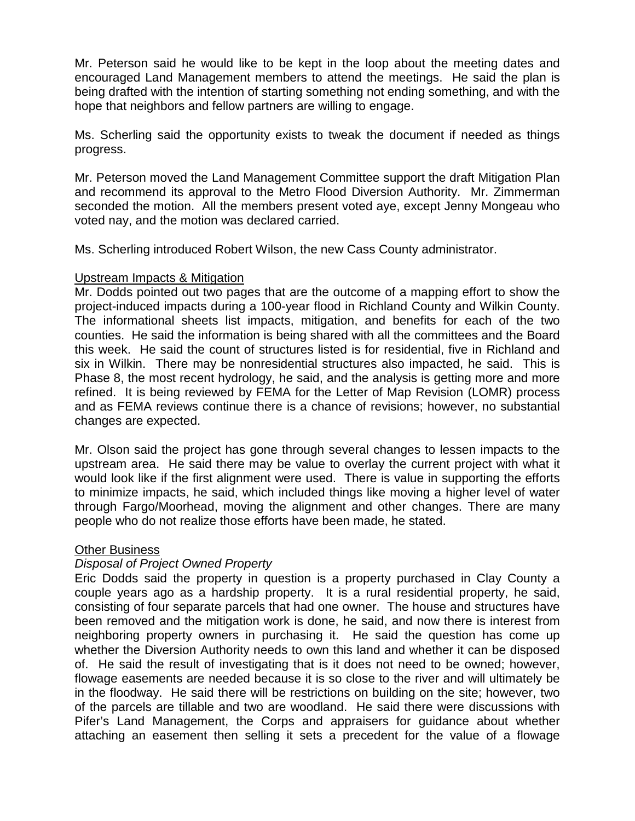Mr. Peterson said he would like to be kept in the loop about the meeting dates and encouraged Land Management members to attend the meetings. He said the plan is being drafted with the intention of starting something not ending something, and with the hope that neighbors and fellow partners are willing to engage.

Ms. Scherling said the opportunity exists to tweak the document if needed as things progress.

Mr. Peterson moved the Land Management Committee support the draft Mitigation Plan and recommend its approval to the Metro Flood Diversion Authority. Mr. Zimmerman seconded the motion. All the members present voted aye, except Jenny Mongeau who voted nay, and the motion was declared carried.

Ms. Scherling introduced Robert Wilson, the new Cass County administrator.

### Upstream Impacts & Mitigation

Mr. Dodds pointed out two pages that are the outcome of a mapping effort to show the project-induced impacts during a 100-year flood in Richland County and Wilkin County. The informational sheets list impacts, mitigation, and benefits for each of the two counties. He said the information is being shared with all the committees and the Board this week. He said the count of structures listed is for residential, five in Richland and six in Wilkin. There may be nonresidential structures also impacted, he said. This is Phase 8, the most recent hydrology, he said, and the analysis is getting more and more refined. It is being reviewed by FEMA for the Letter of Map Revision (LOMR) process and as FEMA reviews continue there is a chance of revisions; however, no substantial changes are expected.

Mr. Olson said the project has gone through several changes to lessen impacts to the upstream area. He said there may be value to overlay the current project with what it would look like if the first alignment were used. There is value in supporting the efforts to minimize impacts, he said, which included things like moving a higher level of water through Fargo/Moorhead, moving the alignment and other changes. There are many people who do not realize those efforts have been made, he stated.

# Other Business

# *Disposal of Project Owned Property*

Eric Dodds said the property in question is a property purchased in Clay County a couple years ago as a hardship property. It is a rural residential property, he said, consisting of four separate parcels that had one owner. The house and structures have been removed and the mitigation work is done, he said, and now there is interest from neighboring property owners in purchasing it. He said the question has come up whether the Diversion Authority needs to own this land and whether it can be disposed of. He said the result of investigating that is it does not need to be owned; however, flowage easements are needed because it is so close to the river and will ultimately be in the floodway. He said there will be restrictions on building on the site; however, two of the parcels are tillable and two are woodland. He said there were discussions with Pifer's Land Management, the Corps and appraisers for guidance about whether attaching an easement then selling it sets a precedent for the value of a flowage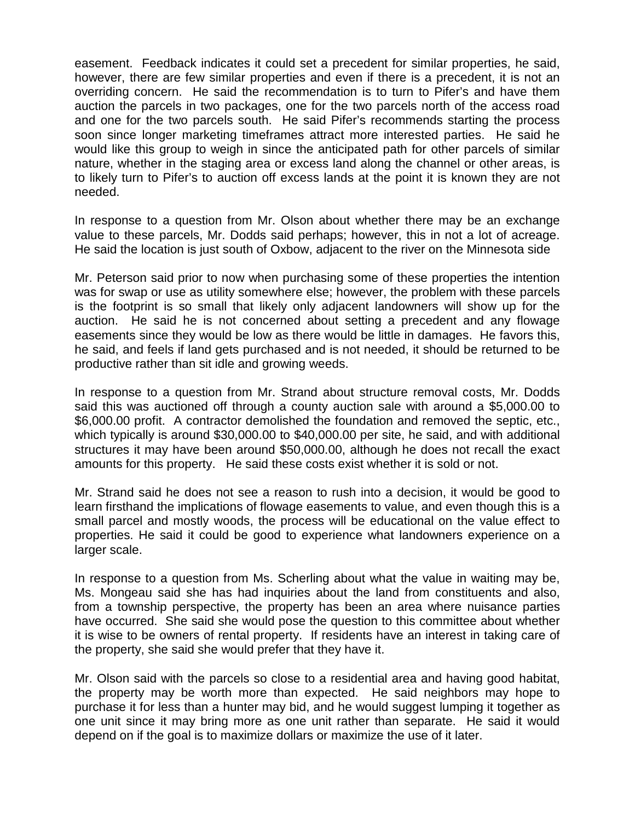easement. Feedback indicates it could set a precedent for similar properties, he said, however, there are few similar properties and even if there is a precedent, it is not an overriding concern. He said the recommendation is to turn to Pifer's and have them auction the parcels in two packages, one for the two parcels north of the access road and one for the two parcels south. He said Pifer's recommends starting the process soon since longer marketing timeframes attract more interested parties. He said he would like this group to weigh in since the anticipated path for other parcels of similar nature, whether in the staging area or excess land along the channel or other areas, is to likely turn to Pifer's to auction off excess lands at the point it is known they are not needed.

In response to a question from Mr. Olson about whether there may be an exchange value to these parcels, Mr. Dodds said perhaps; however, this in not a lot of acreage. He said the location is just south of Oxbow, adjacent to the river on the Minnesota side

Mr. Peterson said prior to now when purchasing some of these properties the intention was for swap or use as utility somewhere else; however, the problem with these parcels is the footprint is so small that likely only adjacent landowners will show up for the auction. He said he is not concerned about setting a precedent and any flowage easements since they would be low as there would be little in damages. He favors this, he said, and feels if land gets purchased and is not needed, it should be returned to be productive rather than sit idle and growing weeds.

In response to a question from Mr. Strand about structure removal costs, Mr. Dodds said this was auctioned off through a county auction sale with around a \$5,000.00 to \$6,000.00 profit. A contractor demolished the foundation and removed the septic, etc., which typically is around \$30,000.00 to \$40,000.00 per site, he said, and with additional structures it may have been around \$50,000.00, although he does not recall the exact amounts for this property. He said these costs exist whether it is sold or not.

Mr. Strand said he does not see a reason to rush into a decision, it would be good to learn firsthand the implications of flowage easements to value, and even though this is a small parcel and mostly woods, the process will be educational on the value effect to properties. He said it could be good to experience what landowners experience on a larger scale.

In response to a question from Ms. Scherling about what the value in waiting may be, Ms. Mongeau said she has had inquiries about the land from constituents and also, from a township perspective, the property has been an area where nuisance parties have occurred. She said she would pose the question to this committee about whether it is wise to be owners of rental property. If residents have an interest in taking care of the property, she said she would prefer that they have it.

Mr. Olson said with the parcels so close to a residential area and having good habitat, the property may be worth more than expected. He said neighbors may hope to purchase it for less than a hunter may bid, and he would suggest lumping it together as one unit since it may bring more as one unit rather than separate. He said it would depend on if the goal is to maximize dollars or maximize the use of it later.